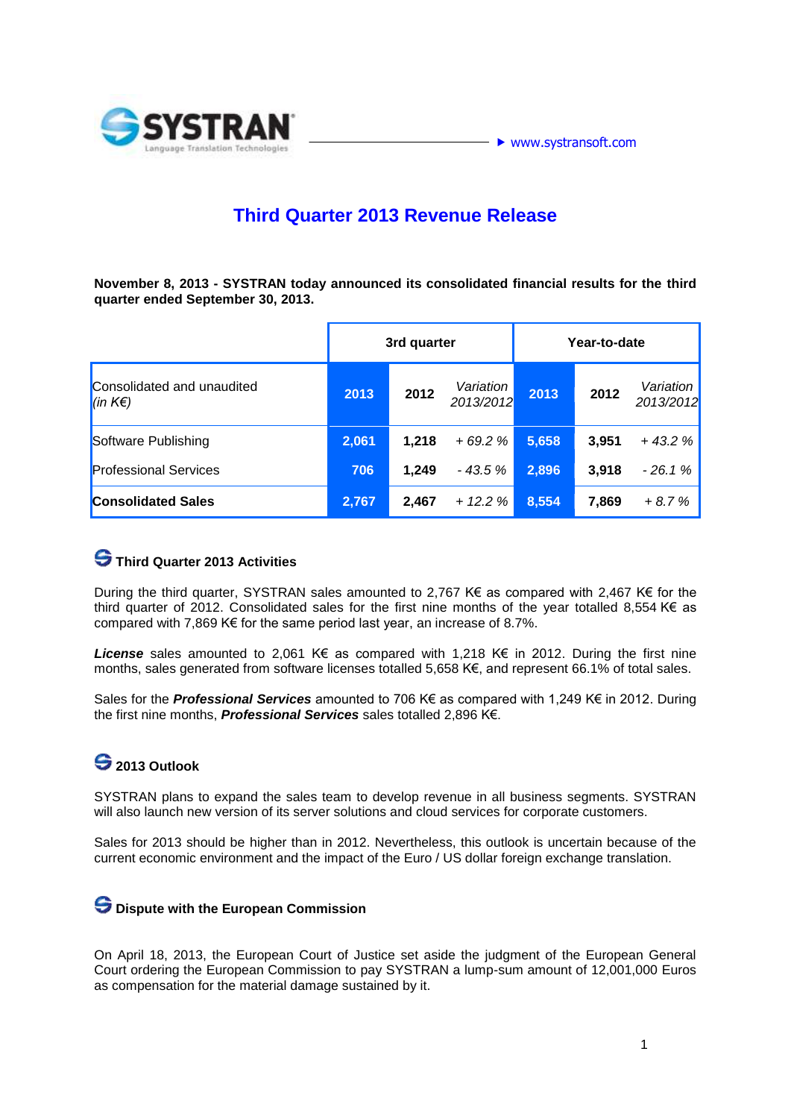

### **Third Quarter 2013 Revenue Release**

**November 8, 2013 - SYSTRAN today announced its consolidated financial results for the third quarter ended September 30, 2013.** 

|                                       | 3rd quarter |       |                        | Year-to-date |       |                        |
|---------------------------------------|-------------|-------|------------------------|--------------|-------|------------------------|
| Consolidated and unaudited<br>(in K€) | 2013        | 2012  | Variation<br>2013/2012 | 2013         | 2012  | Variation<br>2013/2012 |
| Software Publishing                   | 2,061       | 1,218 | $+69.2%$               | 5,658        | 3,951 | $+43.2%$               |
| <b>Professional Services</b>          | 706         | 1.249 | $-43.5%$               | 2,896        | 3,918 | $-26.1%$               |
| <b>Consolidated Sales</b>             | 2,767       | 2,467 | $+ 12.2 \%$            | 8,554        | 7,869 | $+8.7%$                |

### **Third Quarter 2013 Activities**

During the third quarter, SYSTRAN sales amounted to 2,767 K€ as compared with 2,467 K€ for the third quarter of 2012. Consolidated sales for the first nine months of the year totalled 8,554 K€ as compared with 7,869 K€ for the same period last year, an increase of 8.7%.

*License* sales amounted to 2,061 K€ as compared with 1,218 K€ in 2012. During the first nine months, sales generated from software licenses totalled 5,658 K€, and represent 66.1% of total sales.

Sales for the *Professional Services* amounted to 706 K€ as compared with 1,249 K€ in 2012. During the first nine months, *Professional Services* sales totalled 2,896 K€.

# **2013 Outlook**

SYSTRAN plans to expand the sales team to develop revenue in all business segments. SYSTRAN will also launch new version of its server solutions and cloud services for corporate customers.

Sales for 2013 should be higher than in 2012. Nevertheless, this outlook is uncertain because of the current economic environment and the impact of the Euro / US dollar foreign exchange translation.

#### **Dispute with the European Commission**

On April 18, 2013, the European Court of Justice set aside the judgment of the European General Court ordering the European Commission to pay SYSTRAN a lump-sum amount of 12,001,000 Euros as compensation for the material damage sustained by it.